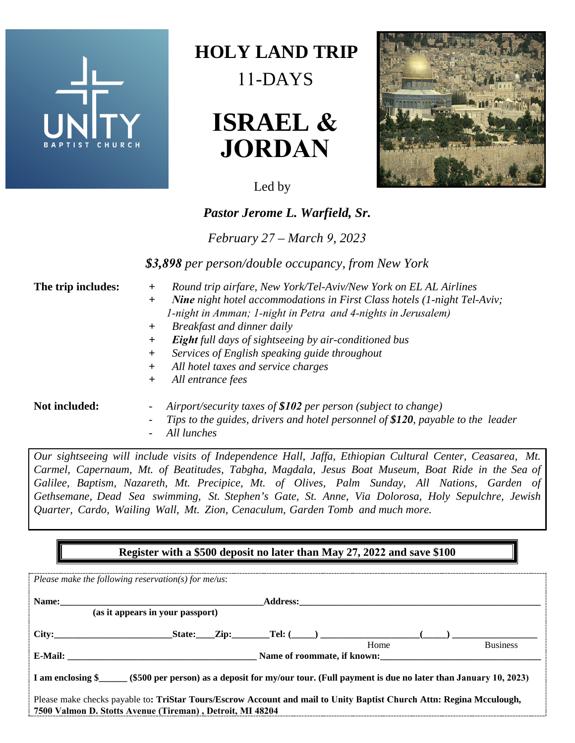

## **HOLY LAND PILGRIMAGE** 11-DAYS





*Pastor Jerome L. Warfield, Sr.*

*February 27 – March 9, 2023*

*\$3,898 per person/double occupancy, from New York* 

- **The trip includes:** *+ Round trip airfare, New York/Tel-Aviv/New York on EL AL Airlines*
	- *+ Nine night hotel accommodations in First Class hotels (1-night Tel-Aviv; 1-night in Amman; 1-night in Petra and 4-nights in Jerusalem)*
	- *+ Breakfast and dinner daily*
	- *+ Eight full days of sightseeing by air-conditioned bus*
	- *+ Services of English speaking guide throughout*
	- *+ All hotel taxes and service charges*
	- *+ All entrance fees*

- **Not included:** *- Airport/security taxes of \$102 per person (subject to change)*
	- *- Tips to the guides, drivers and hotel personnel of \$120, payable to the leader*
	- *- All lunches*

*Our sightseeing will include visits of Independence Hall, Jaffa, Ethiopian Cultural Center, Ceasarea, Mt. Carmel, Capernaum, Mt. of Beatitudes, Tabgha, Magdala, Jesus Boat Museum, Boat Ride in the Sea of Galilee, Baptism, Nazareth, Mt. Precipice, Mt. of Olives, Palm Sunday, All Nations, Garden of Gethsemane, Dead Sea swimming, St. Stephen's Gate, St. Anne, Via Dolorosa, Holy Sepulchre, Jewish Quarter, Cardo, Wailing Wall, Mt. Zion, Cenaculum, Garden Tomb and much more.*

## **Register with a \$500 deposit no later than May 27, 2022 and save \$100**

| Please make the following reservation(s) for me/us:                                                                        |  |  |      |                 |
|----------------------------------------------------------------------------------------------------------------------------|--|--|------|-----------------|
| Name:                                                                                                                      |  |  |      |                 |
| (as it appears in your passport)                                                                                           |  |  |      |                 |
|                                                                                                                            |  |  |      |                 |
|                                                                                                                            |  |  | Home | <b>Business</b> |
| E-Mail:<br>Name of roommate, if known:                                                                                     |  |  |      |                 |
| I am enclosing \$<br>(\$500 per person) as a deposit for my/our tour. (Full payment is due no later than January 10, 2023) |  |  |      |                 |
| Please make checks payable to: TriStar Tours/Escrow Account and mail to Unity Baptist Church Attn: Regina Mcculough,       |  |  |      |                 |
| 7500 Valmon D. Stotts Avenue (Tireman), Detroit, MI 48204                                                                  |  |  |      |                 |